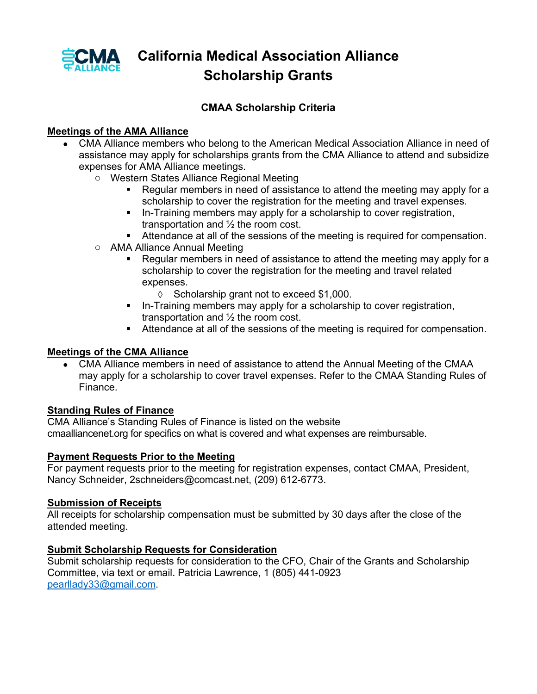

## **California Medical Association Alliance Scholarship Grants**

### **CMAA Scholarship Criteria**

### **Meetings of the AMA Alliance**

- CMA Alliance members who belong to the American Medical Association Alliance in need of assistance may apply for scholarships grants from the CMA Alliance to attend and subsidize expenses for AMA Alliance meetings.
	- o Western States Alliance Regional Meeting
		- ! Regular members in need of assistance to attend the meeting may apply for a scholarship to cover the registration for the meeting and travel expenses.
		- ! In-Training members may apply for a scholarship to cover registration, transportation and ½ the room cost.
		- ! Attendance at all of the sessions of the meeting is required for compensation.
	- o AMA Alliance Annual Meeting
		- Regular members in need of assistance to attend the meeting may apply for a scholarship to cover the registration for the meeting and travel related expenses.
			- $\Diamond$  Scholarship grant not to exceed \$1,000.
		- ! In-Training members may apply for a scholarship to cover registration, transportation and ½ the room cost.
		- ! Attendance at all of the sessions of the meeting is required for compensation.

#### **Meetings of the CMA Alliance**

• CMA Alliance members in need of assistance to attend the Annual Meeting of the CMAA may apply for a scholarship to cover travel expenses. Refer to the CMAA Standing Rules of Finance.

#### **Standing Rules of Finance**

CMA Alliance's Standing Rules of Finance is listed on the website cmaalliancenet.org for specifics on what is covered and what expenses are reimbursable.

#### **Payment Requests Prior to the Meeting**

For payment requests prior to the meeting for registration expenses, contact CMAA, President, Nancy Schneider, 2schneiders@comcast.net, (209) 612-6773.

#### **Submission of Receipts**

All receipts for scholarship compensation must be submitted by 30 days after the close of the attended meeting.

#### **Submit Scholarship Requests for Consideration**

Submit scholarship requests for consideration to the CFO, Chair of the Grants and Scholarship Committee, via text or email. Patricia Lawrence, 1 (805) 441-0923 pearllady33@gmail.com.